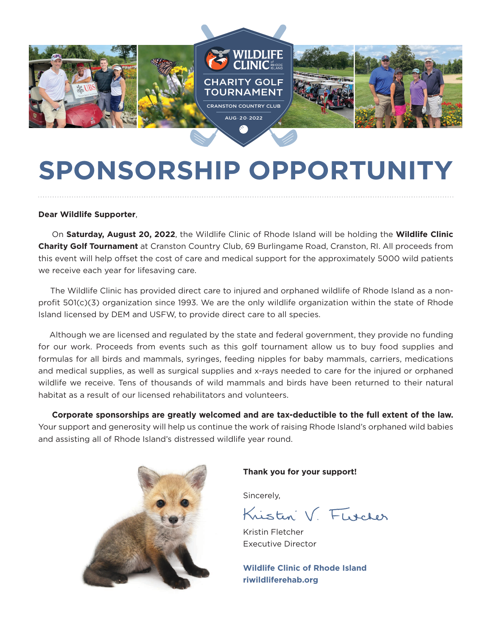

# **SPONSORSHIP OPPORTUNITY**

### **Dear Wildlife Supporter**,

 On **Saturday, August 20, 2022**, the Wildlife Clinic of Rhode Island will be holding the **Wildlife Clinic Charity Golf Tournament** at Cranston Country Club, 69 Burlingame Road, Cranston, RI. All proceeds from this event will help offset the cost of care and medical support for the approximately 5000 wild patients we receive each year for lifesaving care.

 The Wildlife Clinic has provided direct care to injured and orphaned wildlife of Rhode Island as a nonprofit 501(c)(3) organization since 1993. We are the only wildlife organization within the state of Rhode Island licensed by DEM and USFW, to provide direct care to all species.

 Although we are licensed and regulated by the state and federal government, they provide no funding for our work. Proceeds from events such as this golf tournament allow us to buy food supplies and formulas for all birds and mammals, syringes, feeding nipples for baby mammals, carriers, medications and medical supplies, as well as surgical supplies and x-rays needed to care for the injured or orphaned wildlife we receive. Tens of thousands of wild mammals and birds have been returned to their natural habitat as a result of our licensed rehabilitators and volunteers.

 **Corporate sponsorships are greatly welcomed and are tax-deductible to the full extent of the law.**  Your support and generosity will help us continue the work of raising Rhode Island's orphaned wild babies and assisting all of Rhode Island's distressed wildlife year round.



### **Thank you for your support!**

Sincerely,

Kristen V. Florcher

Kristin Fletcher Executive Director

**Wildlife Clinic of Rhode Island riwildliferehab.org**